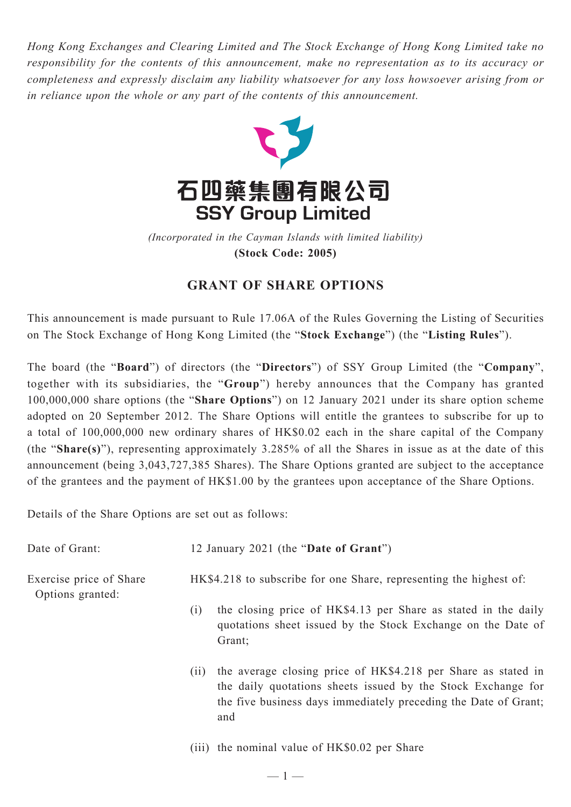*Hong Kong Exchanges and Clearing Limited and The Stock Exchange of Hong Kong Limited take no responsibility for the contents of this announcement, make no representation as to its accuracy or completeness and expressly disclaim any liability whatsoever for any loss howsoever arising from or in reliance upon the whole or any part of the contents of this announcement.*



*(Incorporated in the Cayman Islands with limited liability)* **(Stock Code: 2005)**

## **GRANT OF SHARE OPTIONS**

This announcement is made pursuant to Rule 17.06A of the Rules Governing the Listing of Securities on The Stock Exchange of Hong Kong Limited (the "**Stock Exchange**") (the "**Listing Rules**").

The board (the "**Board**") of directors (the "**Directors**") of SSY Group Limited (the "**Company**", together with its subsidiaries, the "**Group**") hereby announces that the Company has granted 100,000,000 share options (the "**Share Options**") on 12 January 2021 under its share option scheme adopted on 20 September 2012. The Share Options will entitle the grantees to subscribe for up to a total of 100,000,000 new ordinary shares of HK\$0.02 each in the share capital of the Company (the "**Share(s)**"), representing approximately 3.285% of all the Shares in issue as at the date of this announcement (being 3,043,727,385 Shares). The Share Options granted are subject to the acceptance of the grantees and the payment of HK\$1.00 by the grantees upon acceptance of the Share Options.

Details of the Share Options are set out as follows:

| Date of Grant:                              |                                                                    | 12 January 2021 (the "Date of Grant")                                                                                                                                                                   |  |
|---------------------------------------------|--------------------------------------------------------------------|---------------------------------------------------------------------------------------------------------------------------------------------------------------------------------------------------------|--|
| Exercise price of Share<br>Options granted: | HK\$4.218 to subscribe for one Share, representing the highest of: |                                                                                                                                                                                                         |  |
|                                             | (i)                                                                | the closing price of HK\$4.13 per Share as stated in the daily<br>quotations sheet issued by the Stock Exchange on the Date of<br>Grant;                                                                |  |
|                                             | (11)                                                               | the average closing price of HK\$4.218 per Share as stated in<br>the daily quotations sheets issued by the Stock Exchange for<br>the five business days immediately preceding the Date of Grant;<br>and |  |
|                                             |                                                                    |                                                                                                                                                                                                         |  |

(iii) the nominal value of HK\$0.02 per Share